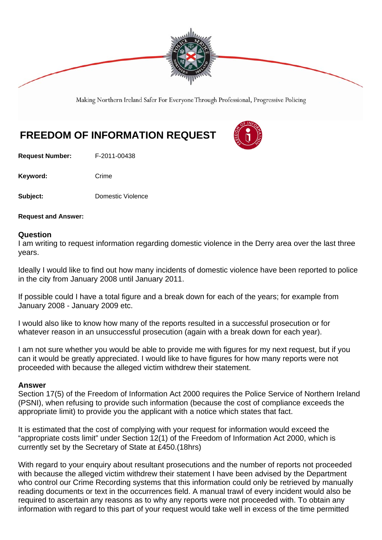

Making Northern Ireland Safer For Everyone Through Professional, Progressive Policing

## **FREEDOM OF INFORMATION REQUEST**

**Request Number:** F-2011-00438

Keyword: Crime

**Subject:** Domestic Violence

**Request and Answer:** 

## **Question**

I am writing to request information regarding domestic violence in the Derry area over the last three years.

Ideally I would like to find out how many incidents of domestic violence have been reported to police in the city from January 2008 until January 2011.

If possible could I have a total figure and a break down for each of the years; for example from January 2008 - January 2009 etc.

I would also like to know how many of the reports resulted in a successful prosecution or for whatever reason in an unsuccessful prosecution (again with a break down for each year).

I am not sure whether you would be able to provide me with figures for my next request, but if you can it would be greatly appreciated. I would like to have figures for how many reports were not proceeded with because the alleged victim withdrew their statement.

## **Answer**

Section 17(5) of the Freedom of Information Act 2000 requires the Police Service of Northern Ireland (PSNI), when refusing to provide such information (because the cost of compliance exceeds the appropriate limit) to provide you the applicant with a notice which states that fact.

It is estimated that the cost of complying with your request for information would exceed the "appropriate costs limit" under Section 12(1) of the Freedom of Information Act 2000, which is currently set by the Secretary of State at £450.(18hrs)

With regard to your enquiry about resultant prosecutions and the number of reports not proceeded with because the alleged victim withdrew their statement I have been advised by the Department who control our Crime Recording systems that this information could only be retrieved by manually reading documents or text in the occurrences field. A manual trawl of every incident would also be required to ascertain any reasons as to why any reports were not proceeded with. To obtain any information with regard to this part of your request would take well in excess of the time permitted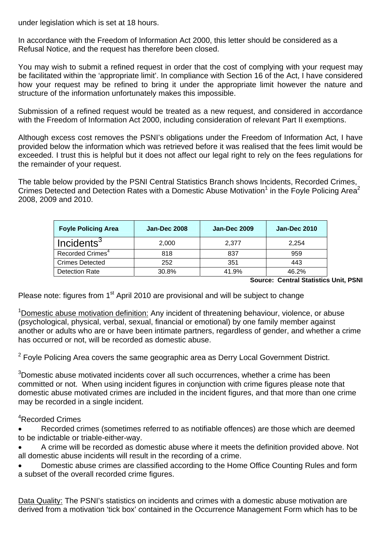under legislation which is set at 18 hours.

In accordance with the Freedom of Information Act 2000, this letter should be considered as a Refusal Notice, and the request has therefore been closed.

You may wish to submit a refined request in order that the cost of complying with your request may be facilitated within the 'appropriate limit'. In compliance with Section 16 of the Act, I have considered how your request may be refined to bring it under the appropriate limit however the nature and structure of the information unfortunately makes this impossible.

Submission of a refined request would be treated as a new request, and considered in accordance with the Freedom of Information Act 2000, including consideration of relevant Part II exemptions.

Although excess cost removes the PSNI's obligations under the Freedom of Information Act, I have provided below the information which was retrieved before it was realised that the fees limit would be exceeded. I trust this is helpful but it does not affect our legal right to rely on the fees regulations for the remainder of your request.

The table below provided by the PSNI Central Statistics Branch shows Incidents, Recorded Crimes, Crimes Detected and Detection Rates with a Domestic Abuse Motivation<sup>1</sup> in the Foyle Policing Area<sup>2</sup> 2008, 2009 and 2010.

| <b>Foyle Policing Area</b>   | <b>Jan-Dec 2008</b> | <b>Jan-Dec 2009</b> | <b>Jan-Dec 2010</b> |
|------------------------------|---------------------|---------------------|---------------------|
| Incidents <sup>3</sup>       | 2.000               | 2.377               | 2.254               |
| Recorded Crimes <sup>4</sup> | 818                 | 837                 | 959                 |
| <b>Crimes Detected</b>       | 252                 | 351                 | 443                 |
| Detection Rate               | 30.8%               | 41.9%               | 46.2%               |

**Source: Central Statistics Unit, PSNI**

Please note: figures from 1<sup>st</sup> April 2010 are provisional and will be subject to change

<sup>1</sup>Domestic abuse motivation definition: Any incident of threatening behaviour, violence, or abuse (psychological, physical, verbal, sexual, financial or emotional) by one family member against another or adults who are or have been intimate partners, regardless of gender, and whether a crime has occurred or not, will be recorded as domestic abuse.

 $2$  Foyle Policing Area covers the same geographic area as Derry Local Government District.

 $3$ Domestic abuse motivated incidents cover all such occurrences, whether a crime has been committed or not. When using incident figures in conjunction with crime figures please note that domestic abuse motivated crimes are included in the incident figures, and that more than one crime may be recorded in a single incident.

## 4 Recorded Crimes

 Recorded crimes (sometimes referred to as notifiable offences) are those which are deemed to be indictable or triable-either-way.

 A crime will be recorded as domestic abuse where it meets the definition provided above. Not all domestic abuse incidents will result in the recording of a crime.

 Domestic abuse crimes are classified according to the Home Office Counting Rules and form a subset of the overall recorded crime figures.

Data Quality: The PSNI's statistics on incidents and crimes with a domestic abuse motivation are derived from a motivation 'tick box' contained in the Occurrence Management Form which has to be